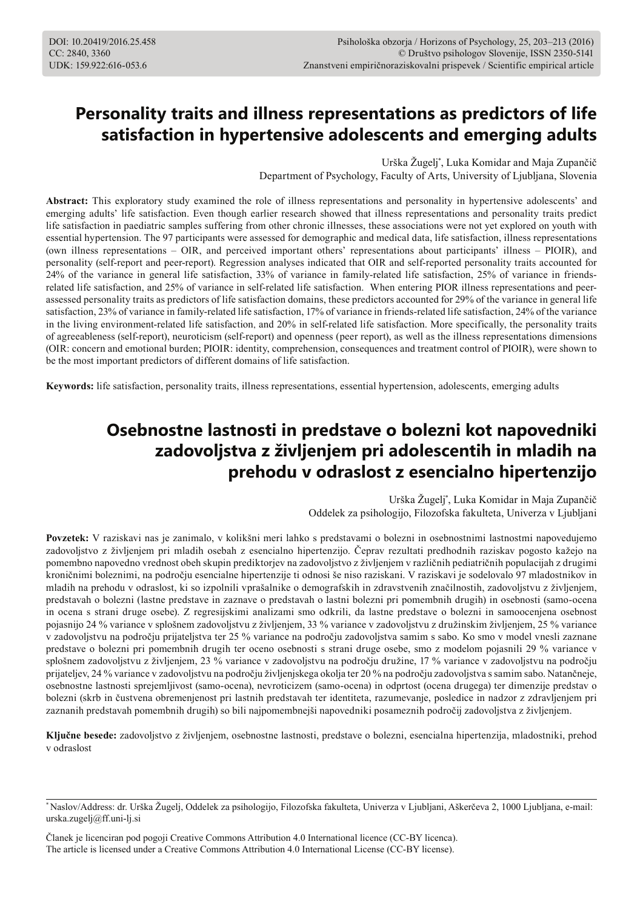# **Personality traits and illness representations as predictors of life satisfaction in hypertensive adolescents and emerging adults**

Urška Žugelj\* , Luka Komidar and Maja Zupančič

Department of Psychology, Faculty of Arts, University of Ljubljana, Slovenia

**Abstract:** This exploratory study examined the role of illness representations and personality in hypertensive adolescents' and emerging adults' life satisfaction. Even though earlier research showed that illness representations and personality traits predict life satisfaction in paediatric samples suffering from other chronic illnesses, these associations were not yet explored on youth with essential hypertension. The 97 participants were assessed for demographic and medical data, life satisfaction, illness representations (own illness representations – OIR, and perceived important others' representations about participants' illness – PIOIR), and personality (self-report and peer-report). Regression analyses indicated that OIR and self-reported personality traits accounted for 24% of the variance in general life satisfaction, 33% of variance in family-related life satisfaction, 25% of variance in friendsrelated life satisfaction, and 25% of variance in self-related life satisfaction. When entering PIOR illness representations and peerassessed personality traits as predictors of life satisfaction domains, these predictors accounted for 29% of the variance in general life satisfaction, 23% of variance in family-related life satisfaction, 17% of variance in friends-related life satisfaction, 24% of the variance in the living environment-related life satisfaction, and 20% in self-related life satisfaction. More specifically, the personality traits of agreeableness (self-report), neuroticism (self-report) and openness (peer report), as well as the illness representations dimensions (OIR: concern and emotional burden; PIOIR: identity, comprehension, consequences and treatment control of PIOIR), were shown to be the most important predictors of different domains of life satisfaction.

**Keywords:** life satisfaction, personality traits, illness representations, essential hypertension, adolescents, emerging adults

## **Osebnostne lastnosti in predstave o bolezni kot napovedniki zadovoljstva z življenjem pri adolescentih in mladih na prehodu v odraslost z esencialno hipertenzijo**

Urška Žugelj\* , Luka Komidar in Maja Zupančič

Oddelek za psihologijo, Filozofska fakulteta, Univerza v Ljubljani

**Povzetek:** V raziskavi nas je zanimalo, v kolikšni meri lahko s predstavami o bolezni in osebnostnimi lastnostmi napovedujemo zadovoljstvo z življenjem pri mladih osebah z esencialno hipertenzijo. Čeprav rezultati predhodnih raziskav pogosto kažejo na pomembno napovedno vrednost obeh skupin prediktorjev na zadovoljstvo z življenjem v različnih pediatričnih populacijah z drugimi kroničnimi boleznimi, na področju esencialne hipertenzije ti odnosi še niso raziskani. V raziskavi je sodelovalo 97 mladostnikov in mladih na prehodu v odraslost, ki so izpolnili vprašalnike o demografskih in zdravstvenih značilnostih, zadovoljstvu z življenjem, predstavah o bolezni (lastne predstave in zaznave o predstavah o lastni bolezni pri pomembnih drugih) in osebnosti (samo-ocena in ocena s strani druge osebe). Z regresijskimi analizami smo odkrili, da lastne predstave o bolezni in samoocenjena osebnost pojasnijo 24 % variance v splošnem zadovoljstvu z življenjem, 33 % variance v zadovoljstvu z družinskim življenjem, 25 % variance v zadovoljstvu na področju prijateljstva ter 25 % variance na področju zadovoljstva samim s sabo. Ko smo v model vnesli zaznane predstave o bolezni pri pomembnih drugih ter oceno osebnosti s strani druge osebe, smo z modelom pojasnili 29 % variance v splošnem zadovoljstvu z življenjem, 23 % variance v zadovoljstvu na področju družine, 17 % variance v zadovoljstvu na področju prijateljev, 24 % variance v zadovoljstvu na področju življenjskega okolja ter 20 % na področju zadovoljstva s samim sabo. Natančneje, osebnostne lastnosti sprejemljivost (samo-ocena), nevroticizem (samo-ocena) in odprtost (ocena drugega) ter dimenzije predstav o bolezni (skrb in čustvena obremenjenost pri lastnih predstavah ter identiteta, razumevanje, posledice in nadzor z zdravljenjem pri zaznanih predstavah pomembnih drugih) so bili najpomembnejši napovedniki posameznih področij zadovoljstva z življenjem.

**Ključne besede:** zadovoljstvo z življenjem, osebnostne lastnosti, predstave o bolezni, esencialna hipertenzija, mladostniki, prehod v odraslost

Članek je licenciran pod pogoji Creative Commons Attribution 4.0 International licence (CC-BY licenca). The article is licensed under a Creative Commons Attribution 4.0 International License (CC-BY license).

<sup>\*</sup> Naslov/Address: dr. Urška Žugelj, Oddelek za psihologijo, Filozofska fakulteta, Univerza v Ljubljani, Aškerčeva 2, 1000 Ljubljana, e-mail: urska.zugelj@ff.uni-lj.si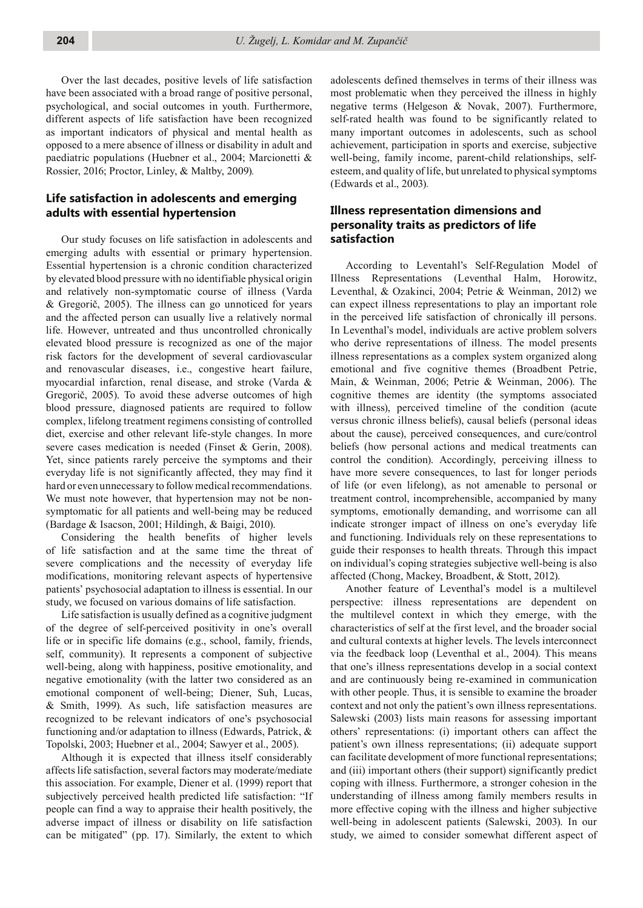Over the last decades, positive levels of life satisfaction have been associated with a broad range of positive personal, psychological, and social outcomes in youth. Furthermore, different aspects of life satisfaction have been recognized as important indicators of physical and mental health as opposed to a mere absence of illness or disability in adult and paediatric populations (Huebner et al., 2004; Marcionetti & Rossier, 2016; Proctor, Linley, & Maltby, 2009)*.*

#### **Life satisfaction in adolescents and emerging adults with essential hypertension**

Our study focuses on life satisfaction in adolescents and emerging adults with essential or primary hypertension. Essential hypertension is a chronic condition characterized by elevated blood pressure with no identifiable physical origin and relatively non-symptomatic course of illness (Varda & Gregorič, 2005). The illness can go unnoticed for years and the affected person can usually live a relatively normal life. However, untreated and thus uncontrolled chronically elevated blood pressure is recognized as one of the major risk factors for the development of several cardiovascular and renovascular diseases, i.e., congestive heart failure, myocardial infarction, renal disease, and stroke (Varda & Gregorič, 2005). To avoid these adverse outcomes of high blood pressure, diagnosed patients are required to follow complex, lifelong treatment regimens consisting of controlled diet, exercise and other relevant life-style changes. In more severe cases medication is needed (Finset & Gerin, 2008). Yet, since patients rarely perceive the symptoms and their everyday life is not significantly affected, they may find it hard or even unnecessary to follow medical recommendations. We must note however, that hypertension may not be nonsymptomatic for all patients and well-being may be reduced (Bardage & Isacson, 2001; Hildingh, & Baigi, 2010).

Considering the health benefits of higher levels of life satisfaction and at the same time the threat of severe complications and the necessity of everyday life modifications, monitoring relevant aspects of hypertensive patients' psychosocial adaptation to illness is essential. In our study, we focused on various domains of life satisfaction.

Life satisfaction is usually defined as a cognitive judgment of the degree of self-perceived positivity in one's overall life or in specific life domains (e.g., school, family, friends, self, community). It represents a component of subjective well-being, along with happiness, positive emotionality, and negative emotionality (with the latter two considered as an emotional component of well-being; Diener, Suh, Lucas, & Smith, 1999). As such, life satisfaction measures are recognized to be relevant indicators of one's psychosocial functioning and/or adaptation to illness (Edwards, Patrick, & Topolski, 2003; Huebner et al., 2004; Sawyer et al., 2005).

Although it is expected that illness itself considerably affects life satisfaction, several factors may moderate/mediate this association. For example, Diener et al. (1999) report that subjectively perceived health predicted life satisfaction: "If people can find a way to appraise their health positively, the adverse impact of illness or disability on life satisfaction can be mitigated" (pp. 17). Similarly, the extent to which

adolescents defined themselves in terms of their illness was most problematic when they perceived the illness in highly negative terms (Helgeson & Novak, 2007). Furthermore, self-rated health was found to be significantly related to many important outcomes in adolescents, such as school achievement, participation in sports and exercise, subjective well-being, family income, parent-child relationships, selfesteem, and quality of life, but unrelated to physical symptoms (Edwards et al., 2003)*.*

#### **Illness representation dimensions and personality traits as predictors of life satisfaction**

According to Leventahl's Self-Regulation Model of Illness Representations (Leventhal Halm, Horowitz, Leventhal, & Ozakinci, 2004; Petrie & Weinman, 2012) we can expect illness representations to play an important role in the perceived life satisfaction of chronically ill persons. In Leventhal's model, individuals are active problem solvers who derive representations of illness. The model presents illness representations as a complex system organized along emotional and five cognitive themes (Broadbent Petrie, Main, & Weinman, 2006; Petrie & Weinman, 2006). The cognitive themes are identity (the symptoms associated with illness), perceived timeline of the condition (acute versus chronic illness beliefs), causal beliefs (personal ideas about the cause), perceived consequences, and cure/control beliefs (how personal actions and medical treatments can control the condition). Accordingly, perceiving illness to have more severe consequences, to last for longer periods of life (or even lifelong), as not amenable to personal or treatment control, incomprehensible, accompanied by many symptoms, emotionally demanding, and worrisome can all indicate stronger impact of illness on one's everyday life and functioning. Individuals rely on these representations to guide their responses to health threats. Through this impact on individual's coping strategies subjective well-being is also affected (Chong, Mackey, Broadbent, & Stott, 2012).

Another feature of Leventhal's model is a multilevel perspective: illness representations are dependent on the multilevel context in which they emerge, with the characteristics of self at the first level, and the broader social and cultural contexts at higher levels. The levels interconnect via the feedback loop (Leventhal et al., 2004). This means that one's illness representations develop in a social context and are continuously being re-examined in communication with other people. Thus, it is sensible to examine the broader context and not only the patient's own illness representations. Salewski (2003) lists main reasons for assessing important others' representations: (i) important others can affect the patient's own illness representations; (ii) adequate support can facilitate development of more functional representations; and (iii) important others (their support) significantly predict coping with illness. Furthermore, a stronger cohesion in the understanding of illness among family members results in more effective coping with the illness and higher subjective well-being in adolescent patients (Salewski, 2003). In our study, we aimed to consider somewhat different aspect of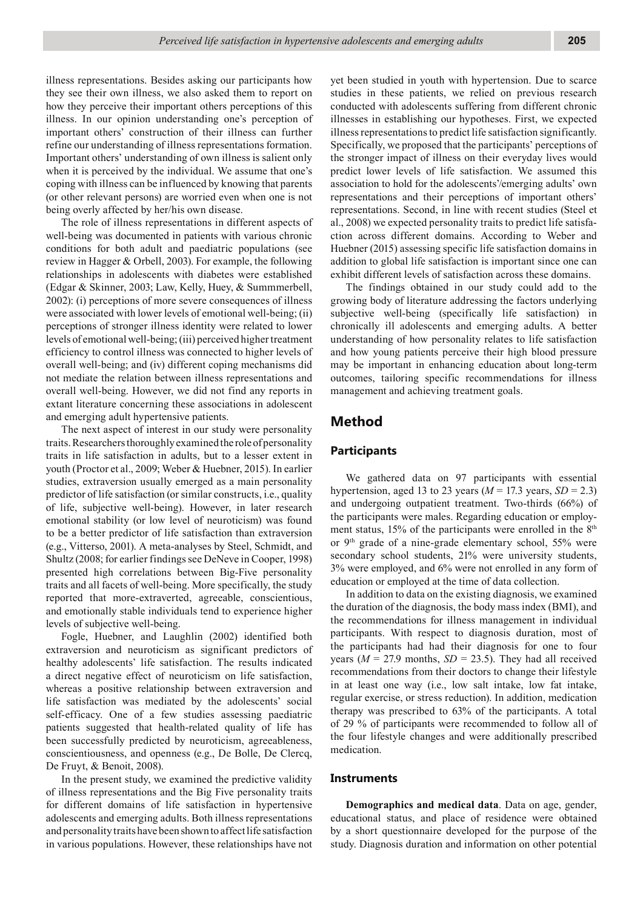illness representations. Besides asking our participants how they see their own illness, we also asked them to report on how they perceive their important others perceptions of this illness. In our opinion understanding one's perception of important others' construction of their illness can further refine our understanding of illness representations formation. Important others' understanding of own illness is salient only when it is perceived by the individual. We assume that one's coping with illness can be influenced by knowing that parents (or other relevant persons) are worried even when one is not being overly affected by her/his own disease.

The role of illness representations in different aspects of well-being was documented in patients with various chronic conditions for both adult and paediatric populations (see review in Hagger & Orbell, 2003). For example, the following relationships in adolescents with diabetes were established (Edgar & Skinner, 2003; Law, Kelly, Huey, & Summmerbell, 2002): (i) perceptions of more severe consequences of illness were associated with lower levels of emotional well-being; (ii) perceptions of stronger illness identity were related to lower levels of emotional well-being; (iii) perceived higher treatment efficiency to control illness was connected to higher levels of overall well-being; and (iv) different coping mechanisms did not mediate the relation between illness representations and overall well-being. However, we did not find any reports in extant literature concerning these associations in adolescent and emerging adult hypertensive patients.

The next aspect of interest in our study were personality traits. Researchers thoroughly examined the role of personality traits in life satisfaction in adults, but to a lesser extent in youth (Proctor et al., 2009; Weber & Huebner, 2015). In earlier studies, extraversion usually emerged as a main personality predictor of life satisfaction (or similar constructs, i.e., quality of life, subjective well-being). However, in later research emotional stability (or low level of neuroticism) was found to be a better predictor of life satisfaction than extraversion (e.g., Vitterso, 2001). A meta-analyses by Steel, Schmidt, and Shultz (2008; for earlier findings see DeNeve in Cooper, 1998) presented high correlations between Big-Five personality traits and all facets of well-being. More specifically, the study reported that more-extraverted, agreeable, conscientious, and emotionally stable individuals tend to experience higher levels of subjective well-being.

Fogle, Huebner, and Laughlin (2002) identified both extraversion and neuroticism as significant predictors of healthy adolescents' life satisfaction. The results indicated a direct negative effect of neuroticism on life satisfaction, whereas a positive relationship between extraversion and life satisfaction was mediated by the adolescents' social self-efficacy. One of a few studies assessing paediatric patients suggested that health-related quality of life has been successfully predicted by neuroticism, agreeableness, conscientiousness, and openness (e.g., De Bolle, De Clercq, De Fruyt, & Benoit, 2008).

In the present study, we examined the predictive validity of illness representations and the Big Five personality traits for different domains of life satisfaction in hypertensive adolescents and emerging adults. Both illness representations and personality traits have been shown to affect life satisfaction in various populations. However, these relationships have not

yet been studied in youth with hypertension. Due to scarce studies in these patients, we relied on previous research conducted with adolescents suffering from different chronic illnesses in establishing our hypotheses. First, we expected illness representations to predict life satisfaction significantly. Specifically, we proposed that the participants' perceptions of the stronger impact of illness on their everyday lives would predict lower levels of life satisfaction. We assumed this association to hold for the adolescents'/emerging adults' own representations and their perceptions of important others' representations. Second, in line with recent studies (Steel et al., 2008) we expected personality traits to predict life satisfaction across different domains. According to Weber and Huebner (2015) assessing specific life satisfaction domains in addition to global life satisfaction is important since one can exhibit different levels of satisfaction across these domains.

The findings obtained in our study could add to the growing body of literature addressing the factors underlying subjective well-being (specifically life satisfaction) in chronically ill adolescents and emerging adults. A better understanding of how personality relates to life satisfaction and how young patients perceive their high blood pressure may be important in enhancing education about long-term outcomes, tailoring specific recommendations for illness management and achieving treatment goals.

## **Method**

#### **Participants**

We gathered data on 97 participants with essential hypertension, aged 13 to 23 years ( $M = 17.3$  years,  $SD = 2.3$ ) and undergoing outpatient treatment. Two-thirds (66%) of the participants were males. Regarding education or employment status, 15% of the participants were enrolled in the 8<sup>th</sup> or 9th grade of a nine-grade elementary school, 55% were secondary school students, 21% were university students, 3% were employed, and 6% were not enrolled in any form of education or employed at the time of data collection.

In addition to data on the existing diagnosis, we examined the duration of the diagnosis, the body mass index (BMI), and the recommendations for illness management in individual participants. With respect to diagnosis duration, most of the participants had had their diagnosis for one to four years ( $M = 27.9$  months,  $SD = 23.5$ ). They had all received recommendations from their doctors to change their lifestyle in at least one way (i.e., low salt intake, low fat intake, regular exercise, or stress reduction). In addition, medication therapy was prescribed to 63% of the participants. A total of 29 % of participants were recommended to follow all of the four lifestyle changes and were additionally prescribed medication.

#### **Instruments**

**Demographics and medical data**. Data on age, gender, educational status, and place of residence were obtained by a short questionnaire developed for the purpose of the study. Diagnosis duration and information on other potential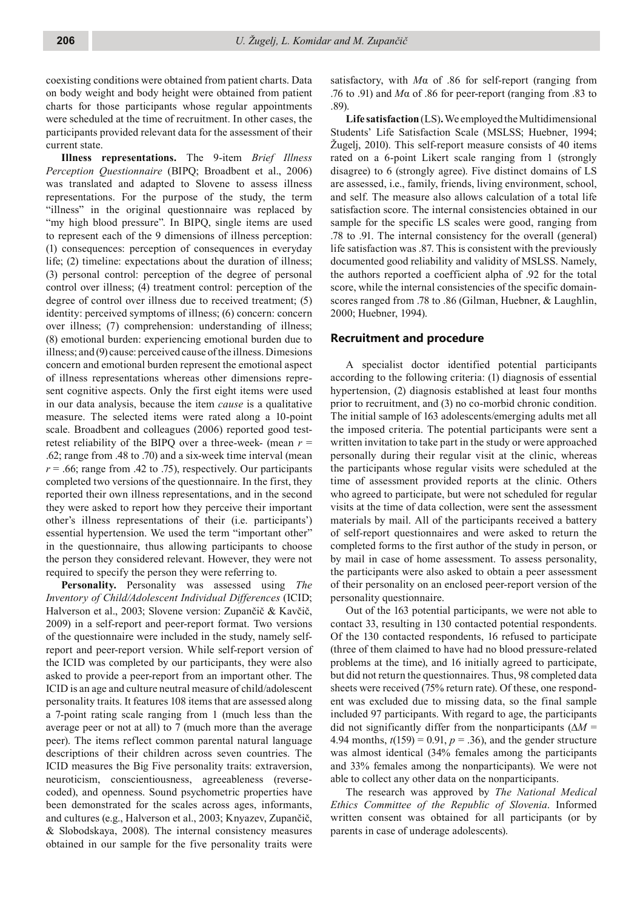coexisting conditions were obtained from patient charts. Data on body weight and body height were obtained from patient charts for those participants whose regular appointments were scheduled at the time of recruitment. In other cases, the participants provided relevant data for the assessment of their current state.

**Illness representations.** The 9-item *Brief Illness Perception Questionnaire* (BIPQ; Broadbent et al., 2006) was translated and adapted to Slovene to assess illness representations. For the purpose of the study, the term "illness" in the original questionnaire was replaced by "my high blood pressure". In BIPQ, single items are used to represent each of the 9 dimensions of illness perception: (1) consequences: perception of consequences in everyday life; (2) timeline: expectations about the duration of illness; (3) personal control: perception of the degree of personal control over illness; (4) treatment control: perception of the degree of control over illness due to received treatment; (5) identity: perceived symptoms of illness; (6) concern: concern over illness; (7) comprehension: understanding of illness; (8) emotional burden: experiencing emotional burden due to illness; and (9) cause: perceived cause of the illness. Dimesions concern and emotional burden represent the emotional aspect of illness representations whereas other dimensions represent cognitive aspects. Only the first eight items were used in our data analysis, because the item *cause* is a qualitative measure. The selected items were rated along a 10-point scale. Broadbent and colleagues (2006) reported good testretest reliability of the BIPQ over a three-week- (mean *r* = .62; range from .48 to .70) and a six-week time interval (mean  $r = .66$ ; range from .42 to .75), respectively. Our participants completed two versions of the questionnaire. In the first, they reported their own illness representations, and in the second they were asked to report how they perceive their important other's illness representations of their (i.e. participants') essential hypertension. We used the term "important other" in the questionnaire, thus allowing participants to choose the person they considered relevant. However, they were not required to specify the person they were referring to.

**Personality.** Personality was assessed using *The Inventory of Child/Adolescent Individual Differences* (ICID; Halverson et al., 2003; Slovene version: Zupančič & Kavčič, 2009) in a self-report and peer-report format. Two versions of the questionnaire were included in the study, namely selfreport and peer-report version. While self-report version of the ICID was completed by our participants, they were also asked to provide a peer-report from an important other. The ICID is an age and culture neutral measure of child/adolescent personality traits. It features 108 items that are assessed along a 7-point rating scale ranging from 1 (much less than the average peer or not at all) to 7 (much more than the average peer). The items reflect common parental natural language descriptions of their children across seven countries. The ICID measures the Big Five personality traits: extraversion, neuroticism, conscientiousness, agreeableness (reversecoded), and openness. Sound psychometric properties have been demonstrated for the scales across ages, informants, and cultures (e.g., Halverson et al., 2003; Knyazev, Zupančič, & Slobodskaya, 2008). The internal consistency measures obtained in our sample for the five personality traits were

satisfactory, with *M*α of .86 for self-report (ranging from .76 to .91) and *M*α of .86 for peer-report (ranging from .83 to .89).

**Life satisfaction** (LS)**.** We employed the Multidimensional Students' Life Satisfaction Scale (MSLSS; Huebner, 1994; Žugelj, 2010). This self-report measure consists of 40 items rated on a 6-point Likert scale ranging from 1 (strongly disagree) to 6 (strongly agree). Five distinct domains of LS are assessed, i.e., family, friends, living environment, school, and self. The measure also allows calculation of a total life satisfaction score. The internal consistencies obtained in our sample for the specific LS scales were good, ranging from .78 to .91. The internal consistency for the overall (general) life satisfaction was .87. This is consistent with the previously documented good reliability and validity of MSLSS. Namely, the authors reported a coefficient alpha of .92 for the total score, while the internal consistencies of the specific domainscores ranged from .78 to .86 (Gilman, Huebner, & Laughlin, 2000; Huebner, 1994).

#### **Recruitment and procedure**

A specialist doctor identified potential participants according to the following criteria: (1) diagnosis of essential hypertension, (2) diagnosis established at least four months prior to recruitment, and (3) no co-morbid chronic condition. The initial sample of 163 adolescents/emerging adults met all the imposed criteria. The potential participants were sent a written invitation to take part in the study or were approached personally during their regular visit at the clinic, whereas the participants whose regular visits were scheduled at the time of assessment provided reports at the clinic. Others who agreed to participate, but were not scheduled for regular visits at the time of data collection, were sent the assessment materials by mail. All of the participants received a battery of self-report questionnaires and were asked to return the completed forms to the first author of the study in person, or by mail in case of home assessment. To assess personality, the participants were also asked to obtain a peer assessment of their personality on an enclosed peer-report version of the personality questionnaire.

Out of the 163 potential participants, we were not able to contact 33, resulting in 130 contacted potential respondents. Of the 130 contacted respondents, 16 refused to participate (three of them claimed to have had no blood pressure-related problems at the time), and 16 initially agreed to participate, but did not return the questionnaires. Thus, 98 completed data sheets were received (75% return rate). Of these, one respondent was excluded due to missing data, so the final sample included 97 participants. With regard to age, the participants did not significantly differ from the nonparticipants (Δ*M* = 4.94 months,  $t(159) = 0.91$ ,  $p = .36$ ), and the gender structure was almost identical (34% females among the participants and 33% females among the nonparticipants). We were not able to collect any other data on the nonparticipants.

The research was approved by *The National Medical Ethics Committee of the Republic of Slovenia*. Informed written consent was obtained for all participants (or by parents in case of underage adolescents).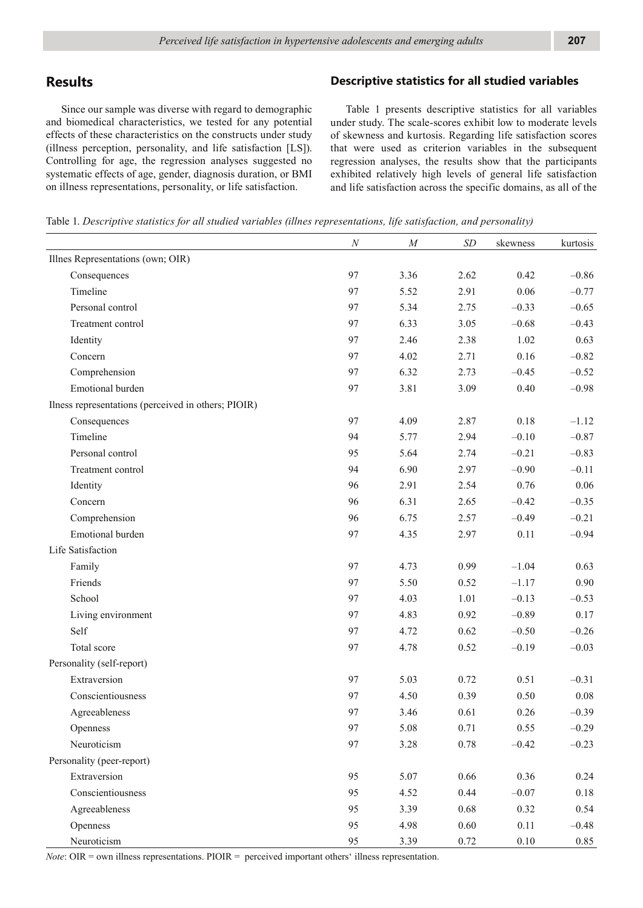## **Results**

Since our sample was diverse with regard to demographic and biomedical characteristics, we tested for any potential effects of these characteristics on the constructs under study (illness perception, personality, and life satisfaction [LS]). Controlling for age, the regression analyses suggested no systematic effects of age, gender, diagnosis duration, or BMI on illness representations, personality, or life satisfaction.

#### **Descriptive statistics for all studied variables**

Table 1 presents descriptive statistics for all variables under study. The scale-scores exhibit low to moderate levels of skewness and kurtosis. Regarding life satisfaction scores that were used as criterion variables in the subsequent regression analyses, the results show that the participants exhibited relatively high levels of general life satisfaction and life satisfaction across the specific domains, as all of the

| Table 1. Descriptive statistics for all studied variables (illnes representations, life satisfaction, and personality) |  |  |  |  |
|------------------------------------------------------------------------------------------------------------------------|--|--|--|--|
|------------------------------------------------------------------------------------------------------------------------|--|--|--|--|

|                                                     | $\cal N$ | M    | $\cal SD$ | skewness | kurtosis |
|-----------------------------------------------------|----------|------|-----------|----------|----------|
| Illnes Representations (own; OIR)                   |          |      |           |          |          |
| Consequences                                        | 97       | 3.36 | 2.62      | 0.42     | $-0.86$  |
| Timeline                                            | 97       | 5.52 | 2.91      | 0.06     | $-0.77$  |
| Personal control                                    | 97       | 5.34 | 2.75      | $-0.33$  | $-0.65$  |
| Treatment control                                   | 97       | 6.33 | 3.05      | $-0.68$  | $-0.43$  |
| Identity                                            | 97       | 2.46 | 2.38      | 1.02     | 0.63     |
| Concern                                             | 97       | 4.02 | 2.71      | 0.16     | $-0.82$  |
| Comprehension                                       | 97       | 6.32 | 2.73      | $-0.45$  | $-0.52$  |
| Emotional burden                                    | 97       | 3.81 | 3.09      | 0.40     | $-0.98$  |
| Ilness representations (perceived in others; PIOIR) |          |      |           |          |          |
| Consequences                                        | 97       | 4.09 | 2.87      | 0.18     | $-1.12$  |
| Timeline                                            | 94       | 5.77 | 2.94      | $-0.10$  | $-0.87$  |
| Personal control                                    | 95       | 5.64 | 2.74      | $-0.21$  | $-0.83$  |
| Treatment control                                   | 94       | 6.90 | 2.97      | $-0.90$  | $-0.11$  |
| Identity                                            | 96       | 2.91 | 2.54      | 0.76     | 0.06     |
| Concern                                             | 96       | 6.31 | 2.65      | $-0.42$  | $-0.35$  |
| Comprehension                                       | 96       | 6.75 | 2.57      | $-0.49$  | $-0.21$  |
| Emotional burden                                    | 97       | 4.35 | 2.97      | 0.11     | $-0.94$  |
| Life Satisfaction                                   |          |      |           |          |          |
| Family                                              | 97       | 4.73 | 0.99      | $-1.04$  | 0.63     |
| Friends                                             | 97       | 5.50 | 0.52      | $-1.17$  | 0.90     |
| School                                              | 97       | 4.03 | 1.01      | $-0.13$  | $-0.53$  |
| Living environment                                  | 97       | 4.83 | 0.92      | $-0.89$  | 0.17     |
| Self                                                | 97       | 4.72 | 0.62      | $-0.50$  | $-0.26$  |
| Total score                                         | 97       | 4.78 | 0.52      | $-0.19$  | $-0.03$  |
| Personality (self-report)                           |          |      |           |          |          |
| Extraversion                                        | 97       | 5.03 | 0.72      | 0.51     | $-0.31$  |
| Conscientiousness                                   | 97       | 4.50 | 0.39      | 0.50     | $0.08\,$ |
| Agreeableness                                       | 97       | 3.46 | 0.61      | 0.26     | $-0.39$  |
| Openness                                            | 97       | 5.08 | 0.71      | 0.55     | $-0.29$  |
| Neuroticism                                         | 97       | 3.28 | 0.78      | $-0.42$  | $-0.23$  |
| Personality (peer-report)                           |          |      |           |          |          |
| Extraversion                                        | 95       | 5.07 | 0.66      | 0.36     | 0.24     |
| Conscientiousness                                   | 95       | 4.52 | 0.44      | $-0.07$  | 0.18     |
| Agreeableness                                       | 95       | 3.39 | 0.68      | 0.32     | 0.54     |
| Openness                                            | 95       | 4.98 | 0.60      | 0.11     | $-0.48$  |
| Neuroticism                                         | 95       | 3.39 | 0.72      | $0.10\,$ | 0.85     |

*Note*: OIR = own illness representations. PIOIR = perceived important others' illness representation.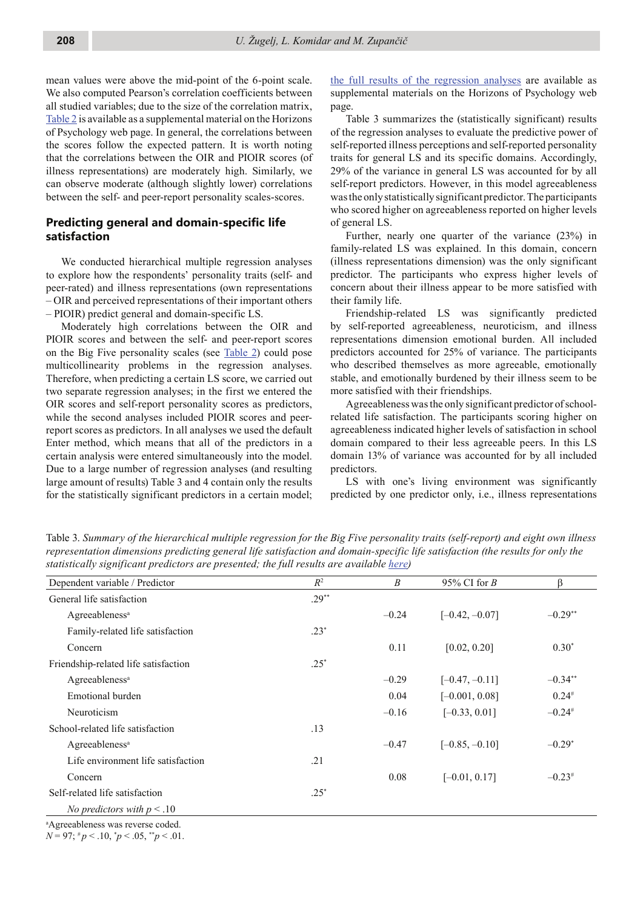mean values were above the mid-point of the 6-point scale. We also computed Pearson's correlation coefficients between all studied variables; due to the size of the correlation matrix, Table 2 is available as a supplemental material on the Horizons of Psychology web page. In general, the correlations between the scores follow the expected pattern. It is worth noting that the correlations between the OIR and PIOIR scores (of illness representations) are moderately high. Similarly, we can observe moderate (although slightly lower) correlations between the self- and peer-report personality scales-scores.

#### **Predicting general and domain-specific life satisfaction**

We conducted hierarchical multiple regression analyses to explore how the respondents' personality traits (self- and peer-rated) and illness representations (own representations – OIR and perceived representations of their important others – PIOIR) predict general and domain-specific LS.

Moderately high correlations between the OIR and PIOIR scores and between the self- and peer-report scores on the Big Five personality scales (see Table 2) could pose multicollinearity problems in the regression analyses. Therefore, when predicting a certain LS score, we carried out two separate regression analyses; in the first we entered the OIR scores and self-report personality scores as predictors, while the second analyses included PIOIR scores and peerreport scores as predictors. In all analyses we used the default Enter method, which means that all of the predictors in a certain analysis were entered simultaneously into the model. Due to a large number of regression analyses (and resulting large amount of results) Table 3 and 4 contain only the results for the statistically significant predictors in a certain model;

the full results of the regression analyses are available as supplemental materials on the Horizons of Psychology web page.

Table 3 summarizes the (statistically significant) results of the regression analyses to evaluate the predictive power of self-reported illness perceptions and self-reported personality traits for general LS and its specific domains. Accordingly, 29% of the variance in general LS was accounted for by all self-report predictors. However, in this model agreeableness was the only statistically significant predictor. The participants who scored higher on agreeableness reported on higher levels of general LS.

Further, nearly one quarter of the variance (23%) in family-related LS was explained. In this domain, concern (illness representations dimension) was the only significant predictor. The participants who express higher levels of concern about their illness appear to be more satisfied with their family life.

Friendship-related LS was significantly predicted by self-reported agreeableness, neuroticism, and illness representations dimension emotional burden. All included predictors accounted for 25% of variance. The participants who described themselves as more agreeable, emotionally stable, and emotionally burdened by their illness seem to be more satisfied with their friendships.

Agreeableness was the only significant predictor of schoolrelated life satisfaction. The participants scoring higher on agreeableness indicated higher levels of satisfaction in school domain compared to their less agreeable peers. In this LS domain 13% of variance was accounted for by all included predictors.

LS with one's living environment was significantly predicted by one predictor only, i.e., illness representations

Dependent variable / Predictor *R*<sup>2</sup> *B* 95% CI for *B* β General life satisfaction .29\*\* Agreeableness<sup>a</sup> –0.24 [–0.42, –0.07] –0.29<sup>\*\*</sup> Family-related life satisfaction .23\*  $\mu$  Concern  $0.11$   $[0.02, 0.20]$   $0.30*$ Friendship-related life satisfaction .25\*  $A$ greeableness<sup>a</sup> – 0.29 [–0.47, –0.11] – 0.34<sup>\*\*</sup> Emotional burden  $0.04$   $[-0.001, 0.08]$   $0.24$ <sup>#</sup> Neuroticism –0.16 [–0.33, 0.01] –0.24# School-related life satisfaction .13 Agreeableness<sup>a</sup> –0.47 [–0.85, –0.10] –0.29<sup>\*</sup> Life environment life satisfaction .21 Concern  $0.08$   $[-0.01, 0.17]$   $-0.23$ # Self-related life satisfaction .25\* *No predictors with p* < .10

a Agreeableness was reverse coded.

 $N = 97$ ;  $^{\#}p < .10$ ,  $^{\ast}p < .05$ ,  $^{\ast\ast}p < .01$ .

Table 3. *Summary of the hierarchical multiple regression for the Big Five personality traits (self-report) and eight own illness representation dimensions predicting general life satisfaction and domain-specific life satisfaction (the results for only the statistically significant predictors are presented; the full results are available here)*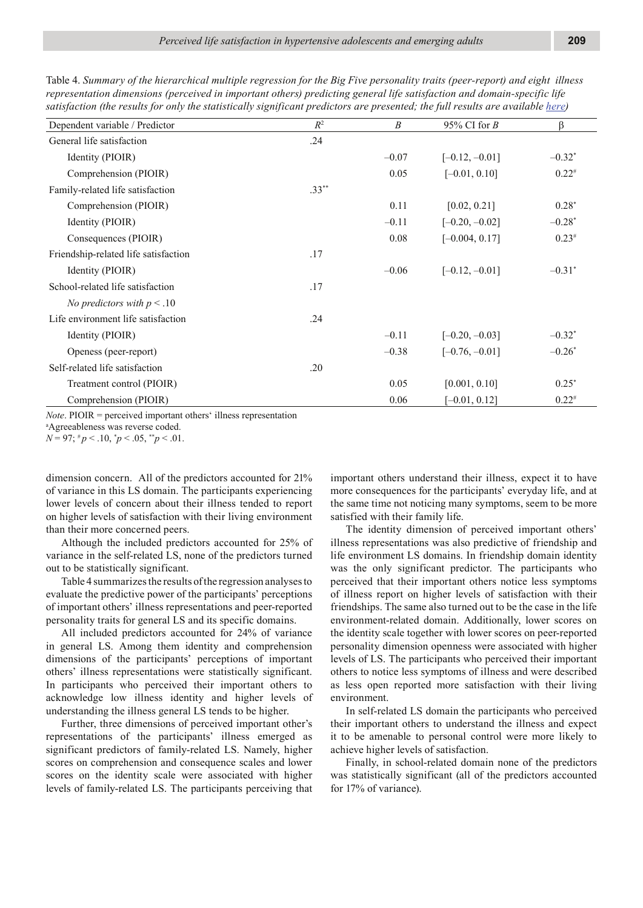| Dependent variable / Predictor       | $R^2$    | B       | 95% CI for $B$   | β                    |
|--------------------------------------|----------|---------|------------------|----------------------|
| General life satisfaction            | .24      |         |                  |                      |
| Identity (PIOIR)                     |          | $-0.07$ | $[-0.12, -0.01]$ | $-0.32*$             |
| Comprehension (PIOIR)                |          | 0.05    | $[-0.01, 0.10]$  | $0.22^{*}$           |
| Family-related life satisfaction     | $.33***$ |         |                  |                      |
| Comprehension (PIOIR)                |          | 0.11    | [0.02, 0.21]     | $0.28*$              |
| Identity (PIOIR)                     |          | $-0.11$ | $[-0.20, -0.02]$ | $-0.28*$             |
| Consequences (PIOIR)                 |          | 0.08    | $[-0.004, 0.17]$ | $0.23*$              |
| Friendship-related life satisfaction | .17      |         |                  |                      |
| Identity (PIOIR)                     |          | $-0.06$ | $[-0.12, -0.01]$ | $-0.31$ <sup>*</sup> |
| School-related life satisfaction     | .17      |         |                  |                      |
| No predictors with $p < .10$         |          |         |                  |                      |
| Life environment life satisfaction   | .24      |         |                  |                      |
| Identity (PIOIR)                     |          | $-0.11$ | $[-0.20, -0.03]$ | $-0.32*$             |
| Openess (peer-report)                |          | $-0.38$ | $[-0.76, -0.01]$ | $-0.26*$             |
| Self-related life satisfaction       | .20      |         |                  |                      |
| Treatment control (PIOIR)            |          | 0.05    | [0.001, 0.10]    | $0.25*$              |
| Comprehension (PIOIR)                |          | 0.06    | $[-0.01, 0.12]$  | $0.22^{*}$           |

Table 4. *Summary of the hierarchical multiple regression for the Big Five personality traits (peer-report) and eight illness representation dimensions (perceived in important others) predicting general life satisfaction and domain-specific life satisfaction (the results for only the statistically significant predictors are presented; the full results are available here)*

*Note*. PIOIR = perceived important others' illness representation

a Agreeableness was reverse coded.  $N = 97$ ;  $^{\#}p < .10$ ,  $^{\ast}p < .05$ ,  $^{\ast\ast}p < .01$ .

dimension concern. All of the predictors accounted for 21% of variance in this LS domain. The participants experiencing lower levels of concern about their illness tended to report on higher levels of satisfaction with their living environment

than their more concerned peers. Although the included predictors accounted for 25% of variance in the self-related LS, none of the predictors turned out to be statistically significant.

Table 4 summarizes the results of the regression analyses to evaluate the predictive power of the participants' perceptions of important others' illness representations and peer-reported personality traits for general LS and its specific domains.

All included predictors accounted for 24% of variance in general LS. Among them identity and comprehension dimensions of the participants' perceptions of important others' illness representations were statistically significant. In participants who perceived their important others to acknowledge low illness identity and higher levels of understanding the illness general LS tends to be higher.

Further, three dimensions of perceived important other's representations of the participants' illness emerged as significant predictors of family-related LS. Namely, higher scores on comprehension and consequence scales and lower scores on the identity scale were associated with higher levels of family-related LS. The participants perceiving that important others understand their illness, expect it to have more consequences for the participants' everyday life, and at the same time not noticing many symptoms, seem to be more satisfied with their family life.

The identity dimension of perceived important others' illness representations was also predictive of friendship and life environment LS domains. In friendship domain identity was the only significant predictor. The participants who perceived that their important others notice less symptoms of illness report on higher levels of satisfaction with their friendships. The same also turned out to be the case in the life environment-related domain. Additionally, lower scores on the identity scale together with lower scores on peer-reported personality dimension openness were associated with higher levels of LS. The participants who perceived their important others to notice less symptoms of illness and were described as less open reported more satisfaction with their living environment.

In self-related LS domain the participants who perceived their important others to understand the illness and expect it to be amenable to personal control were more likely to achieve higher levels of satisfaction.

Finally, in school-related domain none of the predictors was statistically significant (all of the predictors accounted for 17% of variance).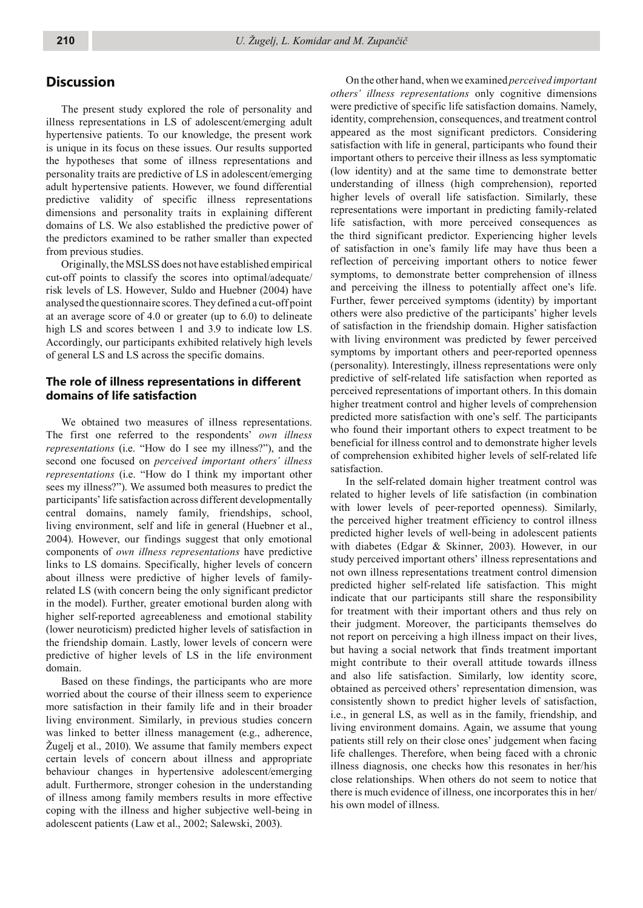## **Discussion**

The present study explored the role of personality and illness representations in LS of adolescent/emerging adult hypertensive patients. To our knowledge, the present work is unique in its focus on these issues. Our results supported the hypotheses that some of illness representations and personality traits are predictive of LS in adolescent/emerging adult hypertensive patients. However, we found differential predictive validity of specific illness representations dimensions and personality traits in explaining different domains of LS. We also established the predictive power of the predictors examined to be rather smaller than expected from previous studies.

Originally, the MSLSS does not have established empirical cut-off points to classify the scores into optimal/adequate/ risk levels of LS. However, Suldo and Huebner (2004) have analysed the questionnaire scores. They defined a cut-off point at an average score of 4.0 or greater (up to 6.0) to delineate high LS and scores between 1 and 3.9 to indicate low LS. Accordingly, our participants exhibited relatively high levels of general LS and LS across the specific domains.

## **The role of illness representations in different domains of life satisfaction**

We obtained two measures of illness representations. The first one referred to the respondents' *own illness representations* (i.e. "How do I see my illness?"), and the second one focused on *perceived important others' illness representations* (i.e. "How do I think my important other sees my illness?"). We assumed both measures to predict the participants' life satisfaction across different developmentally central domains, namely family, friendships, school, living environment, self and life in general (Huebner et al., 2004). However, our findings suggest that only emotional components of *own illness representations* have predictive links to LS domains. Specifically, higher levels of concern about illness were predictive of higher levels of familyrelated LS (with concern being the only significant predictor in the model). Further, greater emotional burden along with higher self-reported agreeableness and emotional stability (lower neuroticism) predicted higher levels of satisfaction in the friendship domain. Lastly, lower levels of concern were predictive of higher levels of LS in the life environment domain.

Based on these findings, the participants who are more worried about the course of their illness seem to experience more satisfaction in their family life and in their broader living environment. Similarly, in previous studies concern was linked to better illness management (e.g., adherence, Žugelj et al., 2010). We assume that family members expect certain levels of concern about illness and appropriate behaviour changes in hypertensive adolescent/emerging adult. Furthermore, stronger cohesion in the understanding of illness among family members results in more effective coping with the illness and higher subjective well-being in adolescent patients (Law et al., 2002; Salewski, 2003).

On the other hand, when we examined *perceived important others' illness representations* only cognitive dimensions were predictive of specific life satisfaction domains. Namely, identity, comprehension, consequences, and treatment control appeared as the most significant predictors. Considering satisfaction with life in general, participants who found their important others to perceive their illness as less symptomatic (low identity) and at the same time to demonstrate better understanding of illness (high comprehension), reported higher levels of overall life satisfaction. Similarly, these representations were important in predicting family-related life satisfaction, with more perceived consequences as the third significant predictor. Experiencing higher levels of satisfaction in one's family life may have thus been a reflection of perceiving important others to notice fewer symptoms, to demonstrate better comprehension of illness and perceiving the illness to potentially affect one's life. Further, fewer perceived symptoms (identity) by important others were also predictive of the participants' higher levels of satisfaction in the friendship domain. Higher satisfaction with living environment was predicted by fewer perceived symptoms by important others and peer-reported openness (personality). Interestingly, illness representations were only predictive of self-related life satisfaction when reported as perceived representations of important others. In this domain higher treatment control and higher levels of comprehension predicted more satisfaction with one's self. The participants who found their important others to expect treatment to be beneficial for illness control and to demonstrate higher levels of comprehension exhibited higher levels of self-related life satisfaction.

In the self-related domain higher treatment control was related to higher levels of life satisfaction (in combination with lower levels of peer-reported openness). Similarly, the perceived higher treatment efficiency to control illness predicted higher levels of well-being in adolescent patients with diabetes (Edgar & Skinner, 2003). However, in our study perceived important others' illness representations and not own illness representations treatment control dimension predicted higher self-related life satisfaction. This might indicate that our participants still share the responsibility for treatment with their important others and thus rely on their judgment. Moreover, the participants themselves do not report on perceiving a high illness impact on their lives, but having a social network that finds treatment important might contribute to their overall attitude towards illness and also life satisfaction. Similarly, low identity score, obtained as perceived others' representation dimension, was consistently shown to predict higher levels of satisfaction, i.e., in general LS, as well as in the family, friendship, and living environment domains. Again, we assume that young patients still rely on their close ones' judgement when facing life challenges. Therefore, when being faced with a chronic illness diagnosis, one checks how this resonates in her/his close relationships. When others do not seem to notice that there is much evidence of illness, one incorporates this in her/ his own model of illness.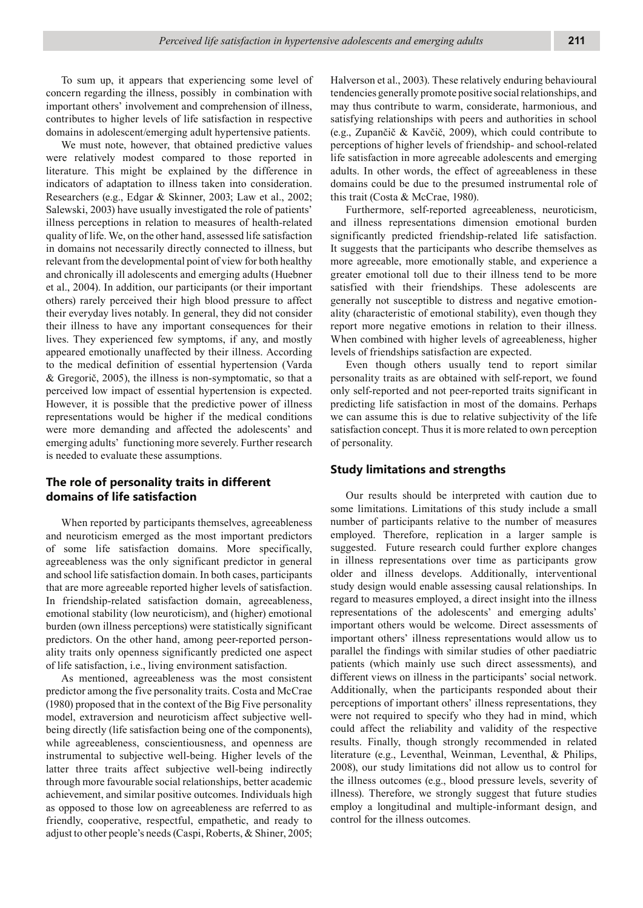To sum up, it appears that experiencing some level of concern regarding the illness, possibly in combination with important others' involvement and comprehension of illness, contributes to higher levels of life satisfaction in respective domains in adolescent/emerging adult hypertensive patients.

We must note, however, that obtained predictive values were relatively modest compared to those reported in literature. This might be explained by the difference in indicators of adaptation to illness taken into consideration. Researchers (e.g., Edgar & Skinner, 2003; Law et al., 2002; Salewski, 2003) have usually investigated the role of patients' illness perceptions in relation to measures of health-related quality of life. We, on the other hand, assessed life satisfaction in domains not necessarily directly connected to illness, but relevant from the developmental point of view for both healthy and chronically ill adolescents and emerging adults (Huebner et al., 2004). In addition, our participants (or their important others) rarely perceived their high blood pressure to affect their everyday lives notably. In general, they did not consider their illness to have any important consequences for their lives. They experienced few symptoms, if any, and mostly appeared emotionally unaffected by their illness. According to the medical definition of essential hypertension (Varda & Gregorič, 2005), the illness is non-symptomatic, so that a perceived low impact of essential hypertension is expected. However, it is possible that the predictive power of illness representations would be higher if the medical conditions were more demanding and affected the adolescents' and emerging adults' functioning more severely. Further research is needed to evaluate these assumptions.

#### **The role of personality traits in different domains of life satisfaction**

When reported by participants themselves, agreeableness and neuroticism emerged as the most important predictors of some life satisfaction domains. More specifically, agreeableness was the only significant predictor in general and school life satisfaction domain. In both cases, participants that are more agreeable reported higher levels of satisfaction. In friendship-related satisfaction domain, agreeableness, emotional stability (low neuroticism), and (higher) emotional burden (own illness perceptions) were statistically significant predictors. On the other hand, among peer-reported personality traits only openness significantly predicted one aspect of life satisfaction, i.e., living environment satisfaction.

As mentioned, agreeableness was the most consistent predictor among the five personality traits. Costa and McCrae (1980) proposed that in the context of the Big Five personality model, extraversion and neuroticism affect subjective wellbeing directly (life satisfaction being one of the components), while agreeableness, conscientiousness, and openness are instrumental to subjective well-being. Higher levels of the latter three traits affect subjective well-being indirectly through more favourable social relationships, better academic achievement, and similar positive outcomes. Individuals high as opposed to those low on agreeableness are referred to as friendly, cooperative, respectful, empathetic, and ready to adjust to other people's needs (Caspi, Roberts, & Shiner, 2005; Halverson et al., 2003). These relatively enduring behavioural tendencies generally promote positive social relationships, and may thus contribute to warm, considerate, harmonious, and satisfying relationships with peers and authorities in school (e.g., Zupančič & Kavčič, 2009), which could contribute to perceptions of higher levels of friendship- and school-related life satisfaction in more agreeable adolescents and emerging adults. In other words, the effect of agreeableness in these domains could be due to the presumed instrumental role of this trait (Costa & McCrae, 1980).

Furthermore, self-reported agreeableness, neuroticism, and illness representations dimension emotional burden significantly predicted friendship-related life satisfaction. It suggests that the participants who describe themselves as more agreeable, more emotionally stable, and experience a greater emotional toll due to their illness tend to be more satisfied with their friendships. These adolescents are generally not susceptible to distress and negative emotionality (characteristic of emotional stability), even though they report more negative emotions in relation to their illness. When combined with higher levels of agreeableness, higher levels of friendships satisfaction are expected.

Even though others usually tend to report similar personality traits as are obtained with self-report, we found only self-reported and not peer-reported traits significant in predicting life satisfaction in most of the domains. Perhaps we can assume this is due to relative subjectivity of the life satisfaction concept. Thus it is more related to own perception of personality.

#### **Study limitations and strengths**

Our results should be interpreted with caution due to some limitations. Limitations of this study include a small number of participants relative to the number of measures employed. Therefore, replication in a larger sample is suggested. Future research could further explore changes in illness representations over time as participants grow older and illness develops. Additionally, interventional study design would enable assessing causal relationships. In regard to measures employed, a direct insight into the illness representations of the adolescents' and emerging adults' important others would be welcome. Direct assessments of important others' illness representations would allow us to parallel the findings with similar studies of other paediatric patients (which mainly use such direct assessments), and different views on illness in the participants' social network. Additionally, when the participants responded about their perceptions of important others' illness representations, they were not required to specify who they had in mind, which could affect the reliability and validity of the respective results. Finally, though strongly recommended in related literature (e.g., Leventhal, Weinman, Leventhal, & Philips, 2008), our study limitations did not allow us to control for the illness outcomes (e.g., blood pressure levels, severity of illness). Therefore, we strongly suggest that future studies employ a longitudinal and multiple-informant design, and control for the illness outcomes.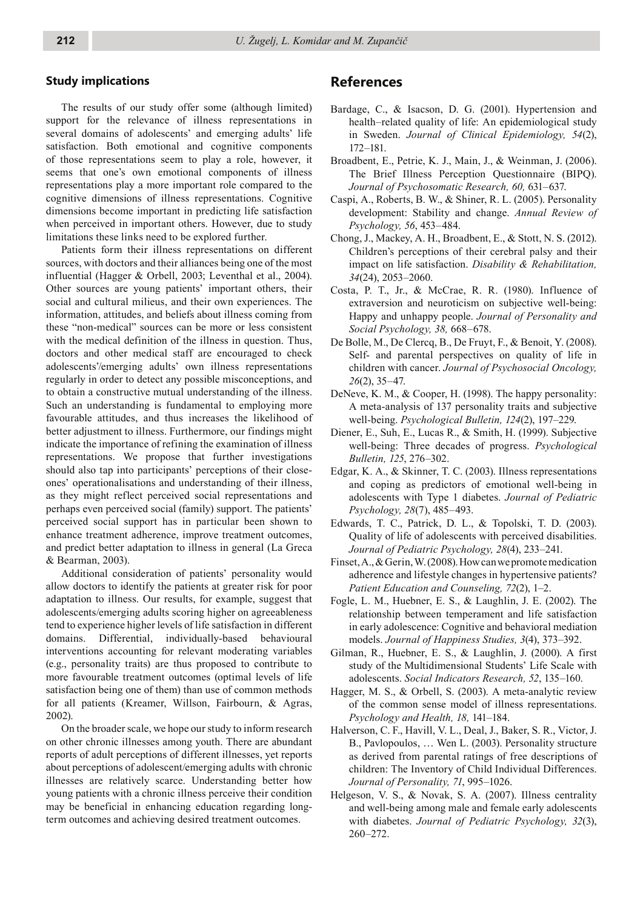#### **Study implications**

The results of our study offer some (although limited) support for the relevance of illness representations in several domains of adolescents' and emerging adults' life satisfaction. Both emotional and cognitive components of those representations seem to play a role, however, it seems that one's own emotional components of illness representations play a more important role compared to the cognitive dimensions of illness representations. Cognitive dimensions become important in predicting life satisfaction when perceived in important others. However, due to study limitations these links need to be explored further.

Patients form their illness representations on different sources, with doctors and their alliances being one of the most influential (Hagger & Orbell, 2003; Leventhal et al., 2004). Other sources are young patients' important others, their social and cultural milieus, and their own experiences. The information, attitudes, and beliefs about illness coming from these "non-medical" sources can be more or less consistent with the medical definition of the illness in question. Thus, doctors and other medical staff are encouraged to check adolescents'/emerging adults' own illness representations regularly in order to detect any possible misconceptions, and to obtain a constructive mutual understanding of the illness. Such an understanding is fundamental to employing more favourable attitudes, and thus increases the likelihood of better adjustment to illness. Furthermore, our findings might indicate the importance of refining the examination of illness representations. We propose that further investigations should also tap into participants' perceptions of their closeones' operationalisations and understanding of their illness, as they might reflect perceived social representations and perhaps even perceived social (family) support. The patients' perceived social support has in particular been shown to enhance treatment adherence, improve treatment outcomes, and predict better adaptation to illness in general (La Greca & Bearman, 2003).

Additional consideration of patients' personality would allow doctors to identify the patients at greater risk for poor adaptation to illness. Our results, for example, suggest that adolescents/emerging adults scoring higher on agreeableness tend to experience higher levels of life satisfaction in different domains. Differential, individually-based behavioural interventions accounting for relevant moderating variables (e.g., personality traits) are thus proposed to contribute to more favourable treatment outcomes (optimal levels of life satisfaction being one of them) than use of common methods for all patients (Kreamer, Willson, Fairbourn, & Agras, 2002).

On the broader scale, we hope our study to inform research on other chronic illnesses among youth. There are abundant reports of adult perceptions of different illnesses, yet reports about perceptions of adolescent/emerging adults with chronic illnesses are relatively scarce. Understanding better how young patients with a chronic illness perceive their condition may be beneficial in enhancing education regarding longterm outcomes and achieving desired treatment outcomes.

#### **References**

- Bardage, C., & Isacson, D. G. (2001). Hypertension and health–related quality of life: An epidemiological study in Sweden. *Journal of Clinical Epidemiology, 54*(2), 172–181.
- Broadbent, E., Petrie, K. J., Main, J., & Weinman, J. (2006). The Brief Illness Perception Questionnaire (BIPQ). *Journal of Psychosomatic Research, 60,* 631–637.
- Caspi, A., Roberts, B. W., & Shiner, R. L. (2005). Personality development: Stability and change. *Annual Review of Psychology, 56*, 453–484.
- Chong, J., Mackey, A. H., Broadbent, E., & Stott, N. S. (2012). Children's perceptions of their cerebral palsy and their impact on life satisfaction. *Disability & Rehabilitation, 34*(24), 2053–2060.
- Costa, P. T., Jr., & McCrae, R. R. (1980). Influence of extraversion and neuroticism on subjective well-being: Happy and unhappy people. *Journal of Personality and Social Psychology, 38,* 668–678.
- De Bolle, M., De Clercq, B., De Fruyt, F., & Benoit, Y. (2008). Self- and parental perspectives on quality of life in children with cancer. *Journal of Psychosocial Oncology, 26*(2), 35–47.
- DeNeve, K. M., & Cooper, H. (1998). The happy personality: A meta-analysis of 137 personality traits and subjective well-being. *Psychological Bulletin, 124*(2), 197–229.
- Diener, E., Suh, E., Lucas R., & Smith, H. (1999). Subjective well-being: Three decades of progress. *Psychological Bulletin, 125*, 276–302.
- Edgar, K. A., & Skinner, T. C. (2003). Illness representations and coping as predictors of emotional well-being in adolescents with Type 1 diabetes. *Journal of Pediatric Psychology, 28*(7), 485–493.
- Edwards, T. C., Patrick, D. L., & Topolski, T. D. (2003). Quality of life of adolescents with perceived disabilities. *Journal of Pediatric Psychology, 28*(4), 233–241.
- Finset, A., & Gerin, W. (2008). How can we promote medication adherence and lifestyle changes in hypertensive patients? *Patient Education and Counseling, 72*(2), 1–2.
- Fogle, L. M., Huebner, E. S., & Laughlin, J. E. (2002). The relationship between temperament and life satisfaction in early adolescence: Cognitive and behavioral mediation models. *Journal of Happiness Studies, 3*(4), 373–392.
- Gilman, R., Huebner, E. S., & Laughlin, J. (2000). A first study of the Multidimensional Students' Life Scale with adolescents. *Social Indicators Research, 52*, 135–160.
- Hagger, M. S., & Orbell, S. (2003). A meta-analytic review of the common sense model of illness representations. *Psychology and Health, 18,* 141–184.
- Halverson, C. F., Havill, V. L., Deal, J., Baker, S. R., Victor, J. B., Pavlopoulos, … Wen L. (2003). Personality structure as derived from parental ratings of free descriptions of children: The Inventory of Child Individual Differences. *Journal of Personality, 71*, 995–1026.
- Helgeson, V. S., & Novak, S. A. (2007). Illness centrality and well-being among male and female early adolescents with diabetes. *Journal of Pediatric Psychology, 32*(3), 260–272.